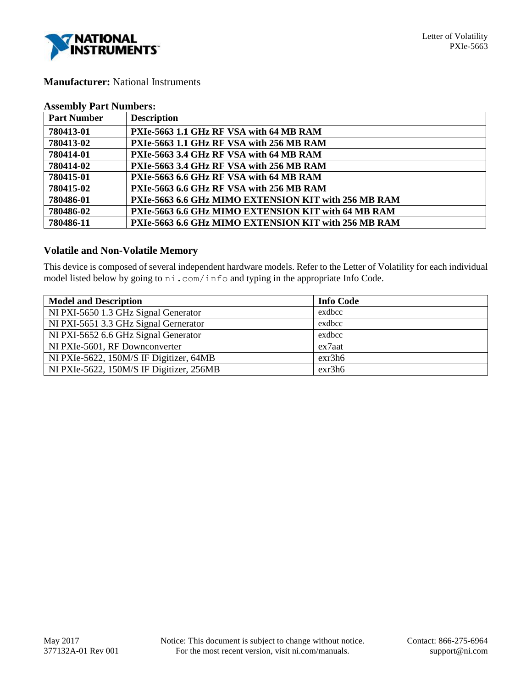

## **Manufacturer:** National Instruments

| <b>Assembly Part Numbers:</b> |
|-------------------------------|
|-------------------------------|

| <b>Part Number</b> | <b>Description</b>                                   |
|--------------------|------------------------------------------------------|
| 780413-01          | PXIe-5663 1.1 GHz RF VSA with 64 MB RAM              |
| 780413-02          | PXIe-5663 1.1 GHz RF VSA with 256 MB RAM             |
| 780414-01          | PXIe-5663 3.4 GHz RF VSA with 64 MB RAM              |
| 780414-02          | PXIe-5663 3.4 GHz RF VSA with 256 MB RAM             |
| 780415-01          | PXIe-5663 6.6 GHz RF VSA with 64 MB RAM              |
| 780415-02          | PXIe-5663 6.6 GHz RF VSA with 256 MB RAM             |
| 780486-01          | PXIe-5663 6.6 GHz MIMO EXTENSION KIT with 256 MB RAM |
| 780486-02          | PXIe-5663 6.6 GHz MIMO EXTENSION KIT with 64 MB RAM  |
| 780486-11          | PXIe-5663 6.6 GHz MIMO EXTENSION KIT with 256 MB RAM |

# **Volatile and Non-Volatile Memory**

This device is composed of several independent hardware models. Refer to the Letter of Volatility for each individual model listed below by going to ni.com/info and typing in the appropriate Info Code.

| <b>Model and Description</b>             | <b>Info Code</b> |
|------------------------------------------|------------------|
| NI PXI-5650 1.3 GHz Signal Generator     | exdbcc           |
| NI PXI-5651 3.3 GHz Signal Gernerator    | exdbcc           |
| NI PXI-5652 6.6 GHz Signal Generator     | exdbcc           |
| NI PXIe-5601, RF Downconverter           | ex7aat           |
| NI PXIe-5622, 150M/S IF Digitizer, 64MB  | exr3h6           |
| NI PXIe-5622, 150M/S IF Digitizer, 256MB | exr3h6           |